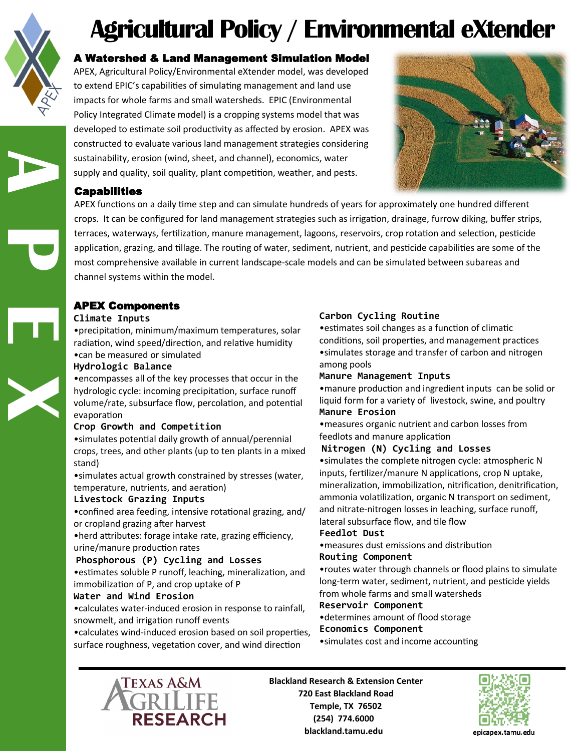

**A P E X**

# **Agricultural Policy / Environmental eXtender**

# A Watershed & Land Management Simulation Model

APEX, Agricultural Policy/Environmental eXtender model, was developed to extend EPIC's capabilities of simulating management and land use impacts for whole farms and small watersheds. EPIC (Environmental Policy Integrated Climate model) is a cropping systems model that was developed to estimate soil productivity as affected by erosion. APEX was constructed to evaluate various land management strategies considering sustainability, erosion (wind, sheet, and channel), economics, water supply and quality, soil quality, plant competition, weather, and pests.



## **Capabilities**

APEX functions on a daily time step and can simulate hundreds of years for approximately one hundred different crops. It can be configured for land management strategies such as irrigation, drainage, furrow diking, buffer strips, terraces, waterways, fertilization, manure management, lagoons, reservoirs, crop rotation and selection, pesticide application, grazing, and tillage. The routing of water, sediment, nutrient, and pesticide capabilities are some of the most comprehensive available in current landscape-scale models and can be simulated between subareas and channel systems within the model.

# APEX Components

#### **Climate Inputs**

•precipitation, minimum/maximum temperatures, solar radiation, wind speed/direction, and relative humidity

#### •can be measured or simulated **Hydrologic Balance**

•encompasses all of the key processes that occur in the hydrologic cycle: incoming precipitation, surface runoff volume/rate, subsurface flow, percolation, and potential evaporation

### **Crop Growth and Competition**

•simulates potential daily growth of annual/perennial crops, trees, and other plants (up to ten plants in a mixed stand)

•simulates actual growth constrained by stresses (water, temperature, nutrients, and aeration)

### **Livestock Grazing Inputs**

•confined area feeding, intensive rotational grazing, and/ or cropland grazing after harvest

•herd attributes: forage intake rate, grazing efficiency, urine/manure production rates

### **Phosphorous (P) Cycling and Losses**

•estimates soluble P runoff, leaching, mineralization, and immobilization of P, and crop uptake of P

### **Water and Wind Erosion**

•calculates water-induced erosion in response to rainfall, snowmelt, and irrigation runoff events

•calculates wind-induced erosion based on soil properties, surface roughness, vegetation cover, and wind direction

# **Carbon Cycling Routine**

•estimates soil changes as a function of climatic conditions, soil properties, and management practices •simulates storage and transfer of carbon and nitrogen among pools

### **Manure Management Inputs**

•manure production and ingredient inputs can be solid or liquid form for a variety of livestock, swine, and poultry **Manure Erosion**

•measures organic nutrient and carbon losses from feedlots and manure application

### **Nitrogen (N) Cycling and Losses**

•simulates the complete nitrogen cycle: atmospheric N inputs, fertilizer/manure N applications, crop N uptake, mineralization, immobilization, nitrification, denitrification, ammonia volatilization, organic N transport on sediment, and nitrate-nitrogen losses in leaching, surface runoff, lateral subsurface flow, and tile flow

#### **Feedlot Dust**

•measures dust emissions and distribution **Routing Component**

•routes water through channels or flood plains to simulate long-term water, sediment, nutrient, and pesticide yields from whole farms and small watersheds

## **Reservoir Component**

•determines amount of flood storage **Economics Component**

•simulates cost and income accounting



**Blackland Research & Extension Center 720 East Blackland Road Temple, TX 76502 (254) 774.6000 blackland.tamu.edu**



epicapex.tamu.edu